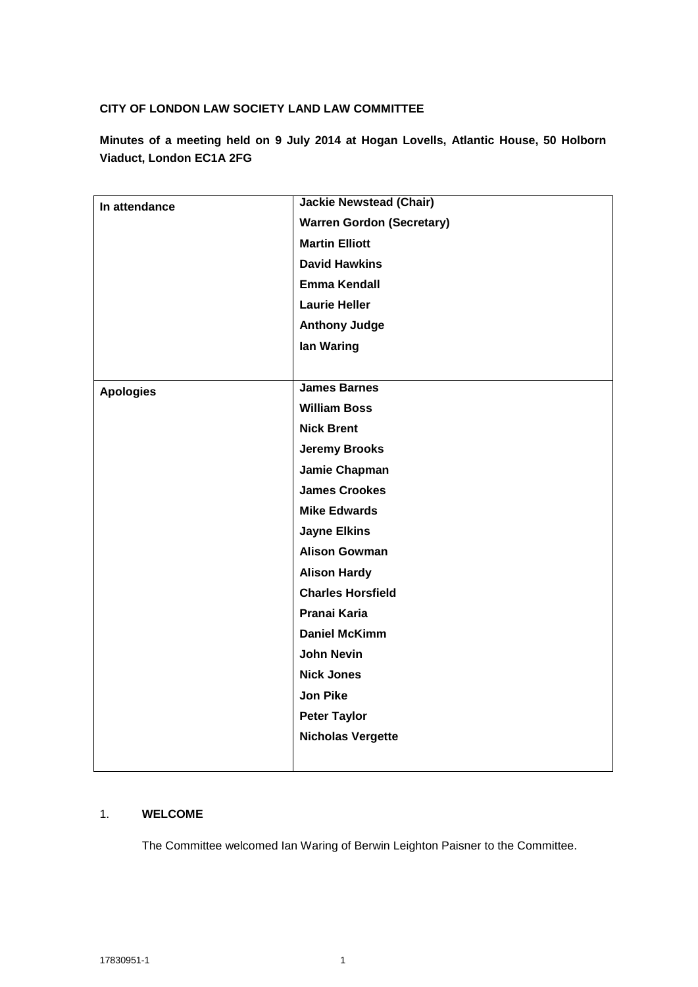## **CITY OF LONDON LAW SOCIETY LAND LAW COMMITTEE**

**Minutes of a meeting held on 9 July 2014 at Hogan Lovells, Atlantic House, 50 Holborn Viaduct, London EC1A 2FG**

| In attendance    | <b>Jackie Newstead (Chair)</b>   |
|------------------|----------------------------------|
|                  | <b>Warren Gordon (Secretary)</b> |
|                  | <b>Martin Elliott</b>            |
|                  | <b>David Hawkins</b>             |
|                  | <b>Emma Kendall</b>              |
|                  | <b>Laurie Heller</b>             |
|                  | <b>Anthony Judge</b>             |
|                  | lan Waring                       |
|                  |                                  |
| <b>Apologies</b> | <b>James Barnes</b>              |
|                  | <b>William Boss</b>              |
|                  | <b>Nick Brent</b>                |
|                  | <b>Jeremy Brooks</b>             |
|                  | Jamie Chapman                    |
|                  | <b>James Crookes</b>             |
|                  | <b>Mike Edwards</b>              |
|                  | <b>Jayne Elkins</b>              |
|                  | <b>Alison Gowman</b>             |
|                  | <b>Alison Hardy</b>              |
|                  | <b>Charles Horsfield</b>         |
|                  | Pranai Karia                     |
|                  | <b>Daniel McKimm</b>             |
|                  | <b>John Nevin</b>                |
|                  | <b>Nick Jones</b>                |
|                  | <b>Jon Pike</b>                  |
|                  | <b>Peter Taylor</b>              |
|                  | <b>Nicholas Vergette</b>         |
|                  |                                  |

### 1. **WELCOME**

The Committee welcomed Ian Waring of Berwin Leighton Paisner to the Committee.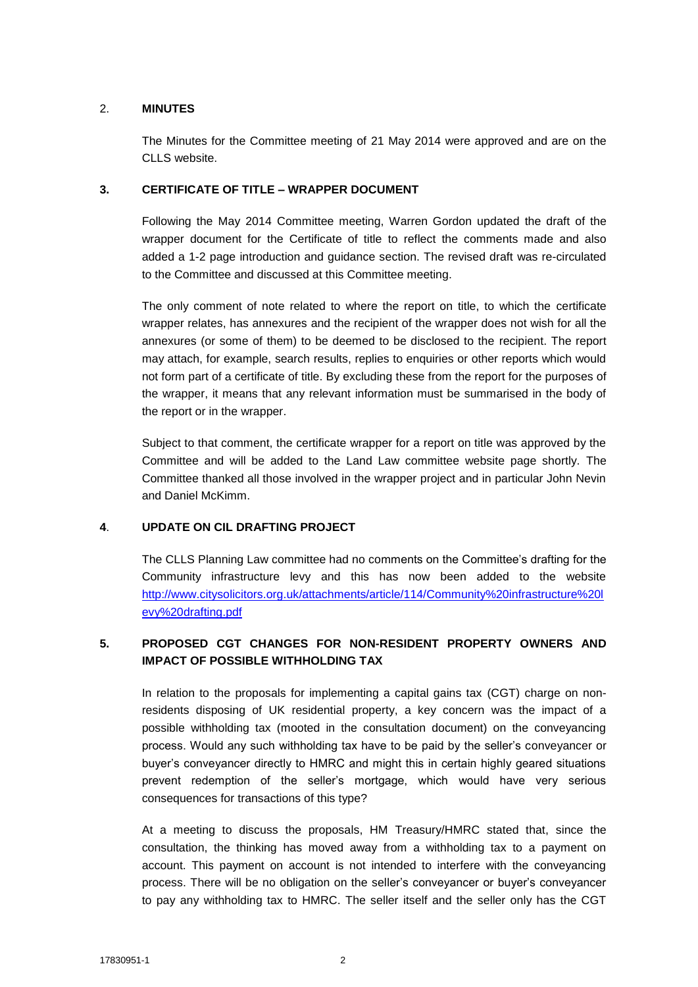### 2. **MINUTES**

The Minutes for the Committee meeting of 21 May 2014 were approved and are on the CLLS website.

### **3. CERTIFICATE OF TITLE – WRAPPER DOCUMENT**

Following the May 2014 Committee meeting, Warren Gordon updated the draft of the wrapper document for the Certificate of title to reflect the comments made and also added a 1-2 page introduction and guidance section. The revised draft was re-circulated to the Committee and discussed at this Committee meeting.

The only comment of note related to where the report on title, to which the certificate wrapper relates, has annexures and the recipient of the wrapper does not wish for all the annexures (or some of them) to be deemed to be disclosed to the recipient. The report may attach, for example, search results, replies to enquiries or other reports which would not form part of a certificate of title. By excluding these from the report for the purposes of the wrapper, it means that any relevant information must be summarised in the body of the report or in the wrapper.

Subject to that comment, the certificate wrapper for a report on title was approved by the Committee and will be added to the Land Law committee website page shortly. The Committee thanked all those involved in the wrapper project and in particular John Nevin and Daniel McKimm.

# **4**. **UPDATE ON CIL DRAFTING PROJECT**

The CLLS Planning Law committee had no comments on the Committee's drafting for the Community infrastructure levy and this has now been added to the website [http://www.citysolicitors.org.uk/attachments/article/114/Community%20infrastructure%20l](http://www.citysolicitors.org.uk/attachments/article/114/Community%20infrastructure%20levy%20drafting.pdf) [evy%20drafting.pdf](http://www.citysolicitors.org.uk/attachments/article/114/Community%20infrastructure%20levy%20drafting.pdf) 

# **5. PROPOSED CGT CHANGES FOR NON-RESIDENT PROPERTY OWNERS AND IMPACT OF POSSIBLE WITHHOLDING TAX**

In relation to the proposals for implementing a capital gains tax (CGT) charge on nonresidents disposing of UK residential property, a key concern was the impact of a possible withholding tax (mooted in the consultation document) on the conveyancing process. Would any such withholding tax have to be paid by the seller's conveyancer or buyer's conveyancer directly to HMRC and might this in certain highly geared situations prevent redemption of the seller's mortgage, which would have very serious consequences for transactions of this type?

At a meeting to discuss the proposals, HM Treasury/HMRC stated that, since the consultation, the thinking has moved away from a withholding tax to a payment on account. This payment on account is not intended to interfere with the conveyancing process. There will be no obligation on the seller's conveyancer or buyer's conveyancer to pay any withholding tax to HMRC. The seller itself and the seller only has the CGT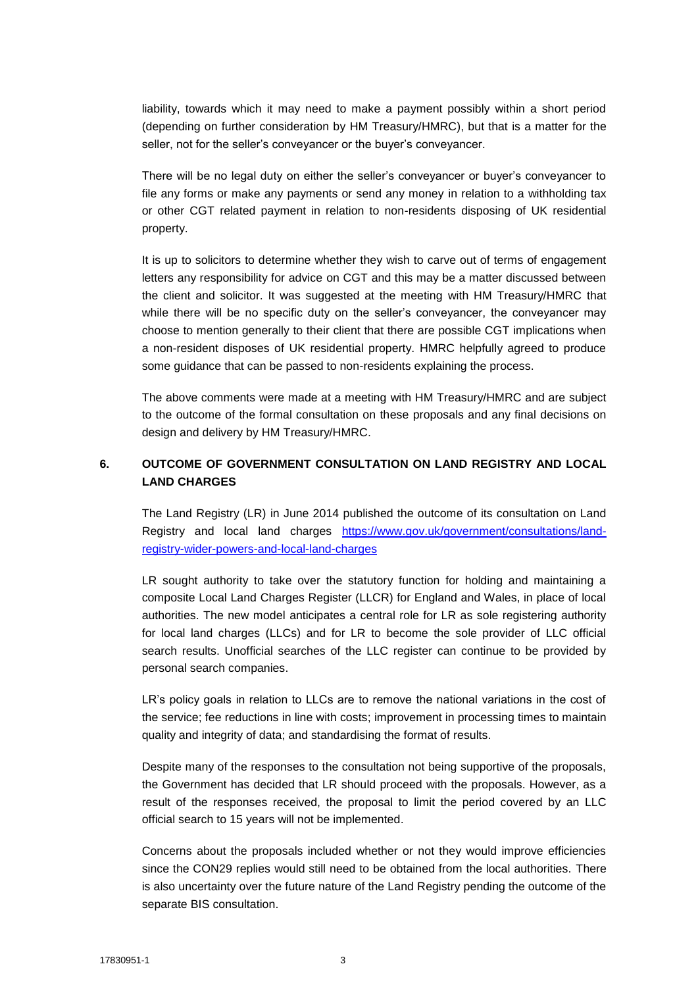liability, towards which it may need to make a payment possibly within a short period (depending on further consideration by HM Treasury/HMRC), but that is a matter for the seller, not for the seller's conveyancer or the buyer's conveyancer.

There will be no legal duty on either the seller's conveyancer or buyer's conveyancer to file any forms or make any payments or send any money in relation to a withholding tax or other CGT related payment in relation to non-residents disposing of UK residential property.

It is up to solicitors to determine whether they wish to carve out of terms of engagement letters any responsibility for advice on CGT and this may be a matter discussed between the client and solicitor. It was suggested at the meeting with HM Treasury/HMRC that while there will be no specific duty on the seller's conveyancer, the conveyancer may choose to mention generally to their client that there are possible CGT implications when a non-resident disposes of UK residential property. HMRC helpfully agreed to produce some guidance that can be passed to non-residents explaining the process.

The above comments were made at a meeting with HM Treasury/HMRC and are subject to the outcome of the formal consultation on these proposals and any final decisions on design and delivery by HM Treasury/HMRC.

# **6. OUTCOME OF GOVERNMENT CONSULTATION ON LAND REGISTRY AND LOCAL LAND CHARGES**

The Land Registry (LR) in June 2014 published the outcome of its consultation on Land Registry and local land charges [https://www.gov.uk/government/consultations/land](https://www.gov.uk/government/consultations/land-registry-wider-powers-and-local-land-charges)[registry-wider-powers-and-local-land-charges](https://www.gov.uk/government/consultations/land-registry-wider-powers-and-local-land-charges)

LR sought authority to take over the statutory function for holding and maintaining a composite Local Land Charges Register (LLCR) for England and Wales, in place of local authorities. The new model anticipates a central role for LR as sole registering authority for local land charges (LLCs) and for LR to become the sole provider of LLC official search results. Unofficial searches of the LLC register can continue to be provided by personal search companies.

LR's policy goals in relation to LLCs are to remove the national variations in the cost of the service; fee reductions in line with costs; improvement in processing times to maintain quality and integrity of data; and standardising the format of results.

Despite many of the responses to the consultation not being supportive of the proposals, the Government has decided that LR should proceed with the proposals. However, as a result of the responses received, the proposal to limit the period covered by an LLC official search to 15 years will not be implemented.

Concerns about the proposals included whether or not they would improve efficiencies since the CON29 replies would still need to be obtained from the local authorities. There is also uncertainty over the future nature of the Land Registry pending the outcome of the separate BIS consultation.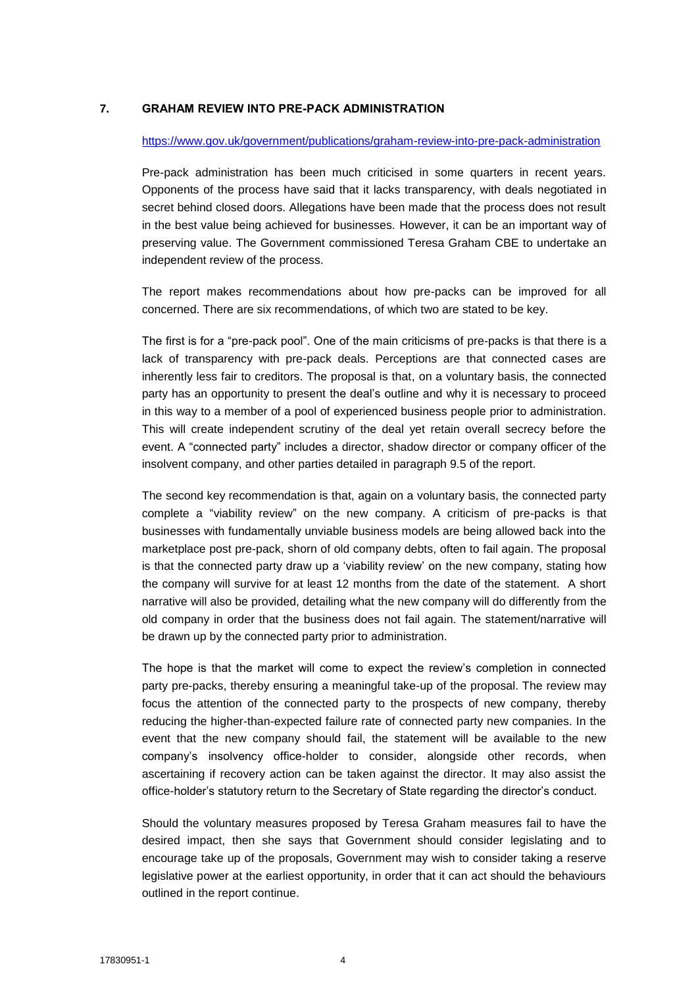### **7. GRAHAM REVIEW INTO PRE-PACK ADMINISTRATION**

#### <https://www.gov.uk/government/publications/graham-review-into-pre-pack-administration>

Pre-pack administration has been much criticised in some quarters in recent years. Opponents of the process have said that it lacks transparency, with deals negotiated in secret behind closed doors. Allegations have been made that the process does not result in the best value being achieved for businesses. However, it can be an important way of preserving value. The Government commissioned Teresa Graham CBE to undertake an independent review of the process.

The report makes recommendations about how pre-packs can be improved for all concerned. There are six recommendations, of which two are stated to be key.

The first is for a "pre-pack pool". One of the main criticisms of pre-packs is that there is a lack of transparency with pre-pack deals. Perceptions are that connected cases are inherently less fair to creditors. The proposal is that, on a voluntary basis, the connected party has an opportunity to present the deal's outline and why it is necessary to proceed in this way to a member of a pool of experienced business people prior to administration. This will create independent scrutiny of the deal yet retain overall secrecy before the event. A "connected party" includes a director, shadow director or company officer of the insolvent company, and other parties detailed in paragraph 9.5 of the report.

The second key recommendation is that, again on a voluntary basis, the connected party complete a "viability review" on the new company. A criticism of pre-packs is that businesses with fundamentally unviable business models are being allowed back into the marketplace post pre-pack, shorn of old company debts, often to fail again. The proposal is that the connected party draw up a 'viability review' on the new company, stating how the company will survive for at least 12 months from the date of the statement. A short narrative will also be provided, detailing what the new company will do differently from the old company in order that the business does not fail again. The statement/narrative will be drawn up by the connected party prior to administration.

The hope is that the market will come to expect the review's completion in connected party pre-packs, thereby ensuring a meaningful take-up of the proposal. The review may focus the attention of the connected party to the prospects of new company, thereby reducing the higher-than-expected failure rate of connected party new companies. In the event that the new company should fail, the statement will be available to the new company's insolvency office-holder to consider, alongside other records, when ascertaining if recovery action can be taken against the director. It may also assist the office-holder's statutory return to the Secretary of State regarding the director's conduct.

Should the voluntary measures proposed by Teresa Graham measures fail to have the desired impact, then she says that Government should consider legislating and to encourage take up of the proposals, Government may wish to consider taking a reserve legislative power at the earliest opportunity, in order that it can act should the behaviours outlined in the report continue.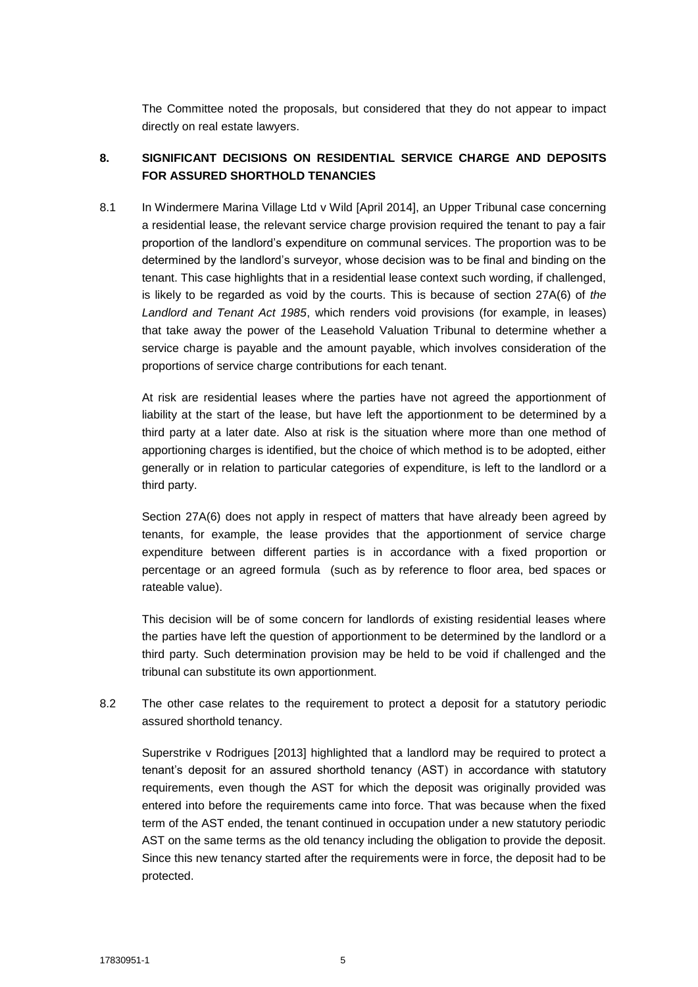The Committee noted the proposals, but considered that they do not appear to impact directly on real estate lawyers.

# **8. SIGNIFICANT DECISIONS ON RESIDENTIAL SERVICE CHARGE AND DEPOSITS FOR ASSURED SHORTHOLD TENANCIES**

8.1 In [Windermere Marina Village Ltd v Wild](http://www.bailii.org/cgi-bin/markup.cgi?doc=/uk/cases/UKUT/LC/2014/163.html&query=title+(+windermere+)&method=boolean) [April 2014], an Upper Tribunal case concerning a residential lease, the relevant service charge provision required the tenant to pay a fair proportion of the landlord's expenditure on communal services. The proportion was to be determined by the landlord's surveyor, whose decision was to be final and binding on the tenant. This case highlights that in a residential lease context such wording, if challenged, is likely to be regarded as void by the courts. This is because of section 27A(6) of *the Landlord and Tenant Act 1985*, which renders void provisions (for example, in leases) that take away the power of the Leasehold Valuation Tribunal to determine whether a service charge is payable and the amount payable, which involves consideration of the proportions of service charge contributions for each tenant.

At risk are residential leases where the parties have not agreed the apportionment of liability at the start of the lease, but have left the apportionment to be determined by a third party at a later date. Also at risk is the situation where more than one method of apportioning charges is identified, but the choice of which method is to be adopted, either generally or in relation to particular categories of expenditure, is left to the landlord or a third party.

Section 27A(6) does not apply in respect of matters that have already been agreed by tenants, for example, the lease provides that the apportionment of service charge expenditure between different parties is in accordance with a fixed proportion or percentage or an agreed formula (such as by reference to floor area, bed spaces or rateable value).

This decision will be of some concern for landlords of existing residential leases where the parties have left the question of apportionment to be determined by the landlord or a third party. Such determination provision may be held to be void if challenged and the tribunal can substitute its own apportionment.

8.2 The other case relates to the requirement to protect a deposit for a statutory periodic assured shorthold tenancy.

Superstrike v Rodrigues [2013] highlighted that a landlord may be required to protect a tenant's deposit for an assured shorthold tenancy (AST) in accordance with statutory requirements, even though the AST for which the deposit was originally provided was entered into before the requirements came into force. That was because when the fixed term of the AST ended, the tenant continued in occupation under a new statutory periodic AST on the same terms as the old tenancy including the obligation to provide the deposit. Since this new tenancy started after the requirements were in force, the deposit had to be protected.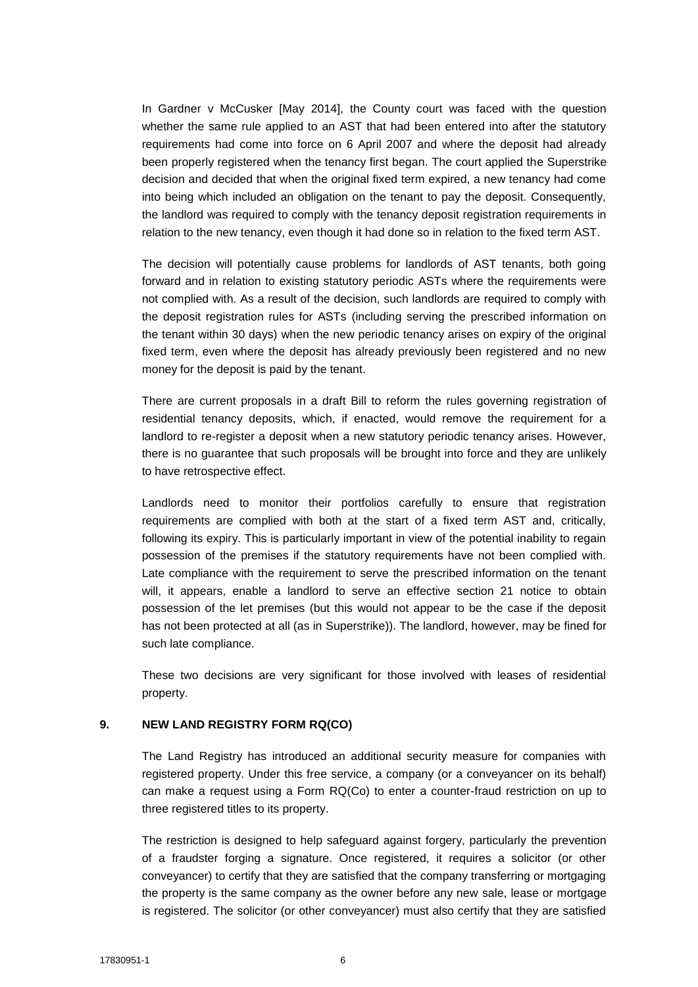In Gardner v McCusker [May 2014], the County court was faced with the question whether the same rule applied to an AST that had been entered into after the statutory requirements had come into force on 6 April 2007 and where the deposit had already been properly registered when the tenancy first began. The court applied the Superstrike decision and decided that when the original fixed term expired, a new tenancy had come into being which included an obligation on the tenant to pay the deposit. Consequently, the landlord was required to comply with the tenancy deposit registration requirements in relation to the new tenancy, even though it had done so in relation to the fixed term AST.

The decision will potentially cause problems for landlords of AST tenants, both going forward and in relation to existing statutory periodic ASTs where the requirements were not complied with. As a result of the decision, such landlords are required to comply with the deposit registration rules for ASTs (including serving the prescribed information on the tenant within 30 days) when the new periodic tenancy arises on expiry of the original fixed term, even where the deposit has already previously been registered and no new money for the deposit is paid by the tenant.

There are current proposals in a draft Bill to reform the rules governing registration of residential tenancy deposits, which, if enacted, would remove the requirement for a landlord to re-register a deposit when a new statutory periodic tenancy arises. However, there is no guarantee that such proposals will be brought into force and they are unlikely to have retrospective effect.

Landlords need to monitor their portfolios carefully to ensure that registration requirements are complied with both at the start of a fixed term AST and, critically, following its expiry. This is particularly important in view of the potential inability to regain possession of the premises if the statutory requirements have not been complied with. Late compliance with the requirement to serve the prescribed information on the tenant will, it appears, enable a landlord to serve an effective section 21 notice to obtain possession of the let premises (but this would not appear to be the case if the deposit has not been protected at all (as in Superstrike)). The landlord, however, may be fined for such late compliance.

These two decisions are very significant for those involved with leases of residential property.

### **9. NEW LAND REGISTRY FORM RQ(CO)**

The Land Registry has introduced an additional security measure for companies with registered property. Under this free service, a company (or a conveyancer on its behalf) can make a request using a Form RQ(Co) to enter a counter-fraud restriction on up to three registered titles to its property.

The restriction is designed to help safeguard against forgery, particularly the prevention of a fraudster forging a signature. Once registered, it requires a solicitor (or other conveyancer) to certify that they are satisfied that the company transferring or mortgaging the property is the same company as the owner before any new sale, lease or mortgage is registered. The solicitor (or other conveyancer) must also certify that they are satisfied